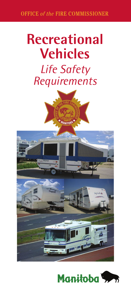## **Recreational Vehicles**  *Life Safety Requirements*





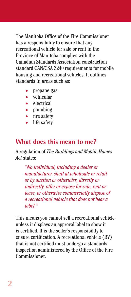The Manitoba Office of the Fire Commissioner has a responsibility to ensure that any recreational vehicle for sale or rent in the Province of Manitoba complies with the Canadian Standards Association construction standard CAN/CSA Z240 requirements for mobile housing and recreational vehicles. It outlines standards in areas such as:

- propane gas
- vehicular
- electrical
- plumbing
- fire safety
- life safety

### **What does this mean to me?**

A regulation of *The Buildings and Mobile Homes Act* states:

*"No individual, including a dealer or manufacturer, shall at wholesale or retail or by auction or otherwise, directly or indirectly, offer or expose for sale, rent or lease, or otherwise commercially dispose of a recreational vehicle that does not bear a label."*

This means you cannot sell a recreational vehicle unless it displays an approval label to show it is certified. It is the seller's responsibility to ensure certification. A recreational vehicle (RV) that is not certified must undergo a standards inspection administered by the Office of the Fire Commissioner.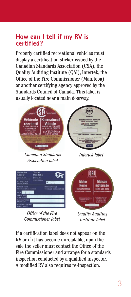### **How can I tell if my RV is certified?**

Properly certified recreational vehicles must display a certification sticker issued by the Canadian Standards Association (CSA), the Quality Auditing Institute (QAI), Intertek, the Office of the Fire Commissioner (Manitoba) or another certifying agency approved by the Standards Council of Canada. This label is usually located near a main doorway.



*Office of the Fire Commissioner label*

*Quality Auditing Institute label*

If a certification label does not appear on the RV or if it has become unreadable, upon the sale the seller must contact the Office of the Fire Commissioner and arrange for a standards inspection conducted by a qualified inspector. A modified RV also requires re-inspection.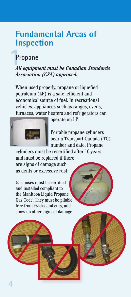## **Fundamental Areas of Inspection**

## **Propane**

#### *All equipment must be Canadian Standards Association (CSA) approved.*

When used properly, propane or liquefied petroleum (LP) is a safe, efficient and economical source of fuel. In recreational vehicles, appliances such as ranges, ovens, furnaces, water heaters and refrigerators can



operate on LP.

Portable propane cylinders bear a Transport Canada (TC) number and date. Propane

cylinders must be recertified after 10 years, and must be replaced if there are signs of damage such as dents or excessive rust.

Gas hoses must be certified and installed compliant to the Manitoba Liquid Propane Gas Code. They must be pliable, free from cracks and cuts, and show no other signs of damage.



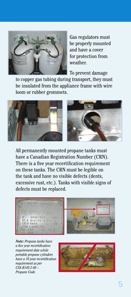

Gas regulators must be properly mounted and have a cover for protection from weather.

To prevent damage

to copper gas tubing during transport, they must be insulated from the appliance frame with wire loom or rubber grommets.



All permanently mounted propane tanks must have a Canadian Registration Number (CRN). There is a five year recertification requirement on these tanks. The CRN must be legible on the tank and have no visible defects (dents, excessive rust, etc.). Tanks with visible signs of defects must be replaced.



*Note: Propane tanks have a five year recertification requirement date while portable propane cylinders have a 10 year recertification requirement as per CSA B149.2-08 – Propane Code.*

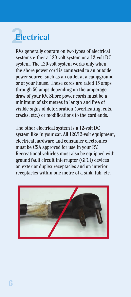# **Electrical**

RVs generally operate on two types of electrical systems either a 120-volt system or a 12-volt DC system. The 120-volt system works only when the shore power cord is connected to an outside power source, such as an outlet at a campground or at your house. These cords are rated 15 amps through 50 amps depending on the amperage draw of your RV. Shore power cords must be a minimum of six metres in length and free of visible signs of deterioration (overheating, cuts, cracks, etc.) or modifications to the cord ends.

The other electrical system is a 12-volt DC system like in your car. All 120/12-volt equipment, electrical hardware and consumer electronics must be CSA approved for use in your RV. Recreational vehicles must also be equipped with ground fault circuit interrupter (GFCI) devices on exterior duplex receptacles and on interior receptacles within one metre of a sink, tub, etc.

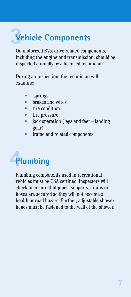## **Vehicle Components**

On motorized RVs, drive related components, including the engine and transmission, should be inspected annually by a licensed technician.

During an inspection, the technician will examine:

- *springs*
- brakes and wires
- tire condition
- tire pressure
- jack operation (legs and feet landing gear)
- frame and related components

# **Plumbing**

Plumbing components used in recreational vehicles must be CSA certified. Inspectors will check to ensure that pipes, supports, drains or hoses are secured so they will not become a health or road hazard. Further, adjustable shower heads must be fastened to the wall of the shower.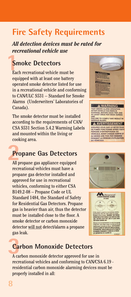## **Fire Safety Requirements**

*All detection devices must be rated for recreational vehicle use*

## **Smoke Detectors**

Each recreational vehicle must be equipped with at least one battery operated smoke detector listed for use in a recreational vehicle and conforming to CAN/ULC S531 – Standard for Smoke Alarms (Underwriters' Laboratories of Canada).

The smoke detector must be installed according to the requirements of CAN/ CSA S531 Section 5.4.2 Warming Labels and mounted within the living or cooking area.

### **Propane Gas Detectors**

All propane gas appliance equipped recreational vehicles must have a propane gas detector installed and approved for use in recreational vehicles, conforming to either CSA B149.2-08 – Propane Code or UL Standard 1484, the Standard of Safety for Residential Gas Detectors. Propane gas is heavier than air, thus the detector must be installed close to the floor. A smoke detector or carbon monoxide detector will not detect/alarm a propane gas leak.







## **Carbon Monoxide Detectors**

A carbon monoxide detector approved for use in recreational vehicles and conforming to CAN/CSA 6.19 residential carbon monoxide alarming devices must be properly installed in all: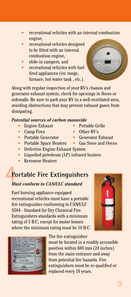**9**

- recreational vehicles with an internal combustion engine,
- recreational vehicles designed to be fitted with an internal combustion engine,
- slide-in campers, and
- recreational vehicles with fuel fired appliances (ex: range, furnace, hot water tank , etc.).

Along with regular inspection of your RV's chassis and generator exhaust system, check for openings in floors or sidewalls. Be sure to park your RV in a well-ventilated area, avoiding obstructions that may prevent exhaust gases from dissipating.

#### *Potential sources of carbon monoxide*

- **Engine Exhaust** Portable Grills
- 
- 
- **Portable Space Heaters Gas Stove and Ovens**
- Defective Engine Exhaust System
- Liquefied petroleum (LP) infrared heaters
- Kerosene Heaters

## **Portable Fire Extinguishers**

#### *Must conform to CAN/ULC standard*

Fuel burning appliance-equipped recreational vehicles must have a portable fire extinguisher conforming to CAN/ULC S504 - Standard for Dry Chemical Fire Extinguishers standards with a minimum rating of 5 B:C, except for motor homes where the minimum rating must be 10 B:C.

#### The fire extinguisher

must be located in a readily accessible position within 600 mm (24 inches) from the main entrance and away from potential fire hazards. Fire extinguishers must be re-qualified or replaced every 10 years.







- Camp Fires Other RV's
- **Portable Generator Generator Exhaust** 
	-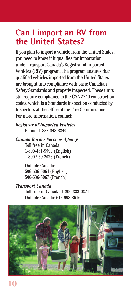## **Can I import an RV from the United States?**

If you plan to import a vehicle from the United States, you need to know if it qualifies for importation under Transport Canada's Registrar of Imported Vehicles (RIV) program. The program ensures that qualified vehicles imported from the United States are brought into compliance with basic Canadian Safety Standards and properly inspected. These units still require compliance to the CSA Z240 construction codes, which is a Standards inspection conducted by Inspectors at the Office of the Fire Commissioner. For more information, contact:

*Registrar of Imported Vehicles* Phone: 1-888-848-8240

*Canada Border Services Agency*

Toll free in Canada: 1-800-461-9999 (English) 1-800-959-2036 (French)

Outside Canada: 506-636-5064 (English) 506-636-5067 (French)

#### *Transport Canada*

Toll free in Canada: 1-800-333-0371 Outside Canada: 613-998-8616

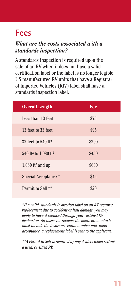## **Fees**

#### *What are the costs associated with a standards inspection?*

A standards inspection is required upon the sale of an RV when it does not have a valid certification label or the label is no longer legible. US manufactured RV units that have a Registrar of Imported Vehicles (RIV) label shall have a standards inspection label.

| <b>Overall Length</b>                        | Fee   |
|----------------------------------------------|-------|
| Less than 13 feet                            | \$75  |
| 13 feet to 33 feet                           | \$95  |
| 33 feet to $540$ ft <sup>2</sup>             | \$300 |
| 540 ft <sup>2</sup> to 1,080 ft <sup>2</sup> | \$450 |
| 1.080 ft <sup>2</sup> and up                 | \$600 |
| Special Acceptance *                         | \$45  |
| Permit to Sell **                            | \$20  |

*\*If a valid standards inspection label on an RV requires replacement due to accident or hail damage, you may apply to have it replaced through your certified RV dealership. An inspector reviews the application which must include the insurance claim number and, upon acceptance, a replacement label is sent to the applicant.*

*\*\*A Permit to Sell is required by any dealers when selling a used, certified RV.*